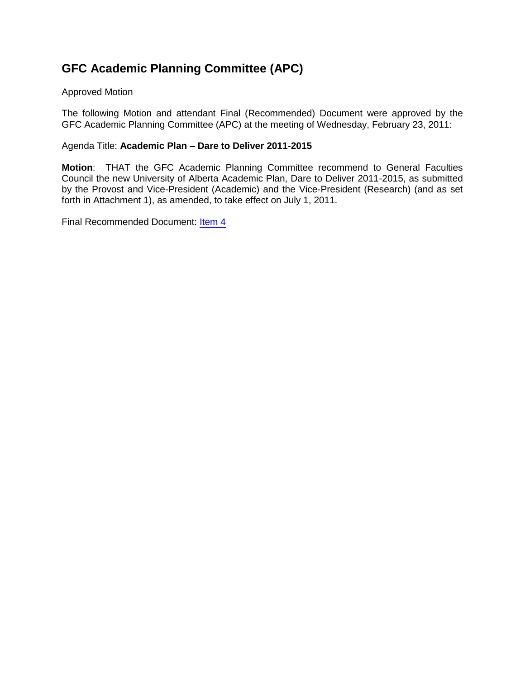## **GFC Academic Planning Committee (APC)**

#### Approved Motion

The following Motion and attendant Final (Recommended) Document were approved by the GFC Academic Planning Committee (APC) at the meeting of Wednesday, February 23, 2011:

#### Agenda Title: **Academic Plan – Dare to Deliver 2011-2015**

**Motion**: THAT the GFC Academic Planning Committee recommend to General Faculties Council the new University of Alberta Academic Plan, Dare to Deliver 2011-2015, as submitted by the Provost and Vice-President (Academic) and the Vice-President (Research) (and as set forth in Attachment 1), as amended, to take effect on July 1, 2011.

Final Recommended Document: [Item 4](#page-1-0)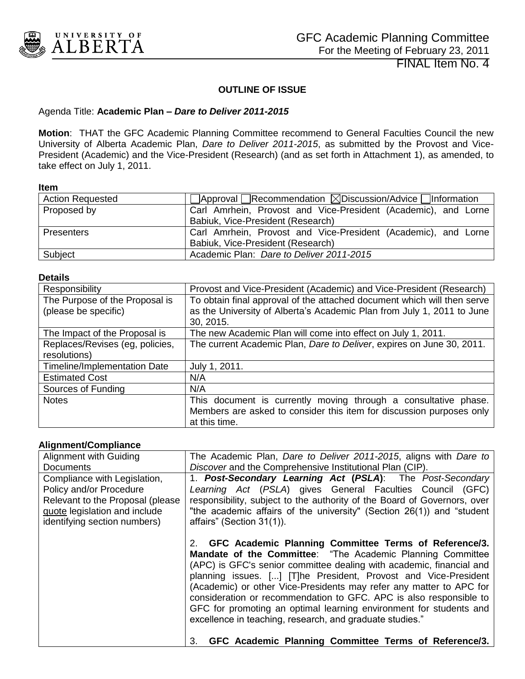<span id="page-1-0"></span>

FINAL Item No. 4

#### **OUTLINE OF ISSUE**

#### Agenda Title: **Academic Plan –** *Dare to Deliver 2011-2015*

**Motion**: THAT the GFC Academic Planning Committee recommend to General Faculties Council the new University of Alberta Academic Plan, *Dare to Deliver 2011-2015*, as submitted by the Provost and Vice-President (Academic) and the Vice-President (Research) (and as set forth in Attachment 1), as amended, to take effect on July 1, 2011.

#### **Item**

| <b>Action Requested</b> | $\Box$ Approval Recommendation $\boxtimes$ Discussion/Advice $\Box$ Information |
|-------------------------|---------------------------------------------------------------------------------|
| Proposed by             | Carl Amrhein, Provost and Vice-President (Academic), and Lorne                  |
|                         | Babiuk, Vice-President (Research)                                               |
| <b>Presenters</b>       | Carl Amrhein, Provost and Vice-President (Academic), and Lorne                  |
|                         | Babiuk, Vice-President (Research)                                               |
| Subject                 | Academic Plan: Dare to Deliver 2011-2015                                        |

#### **Details**

| Responsibility                      | Provost and Vice-President (Academic) and Vice-President (Research)     |
|-------------------------------------|-------------------------------------------------------------------------|
| The Purpose of the Proposal is      | To obtain final approval of the attached document which will then serve |
| (please be specific)                | as the University of Alberta's Academic Plan from July 1, 2011 to June  |
|                                     | 30, 2015.                                                               |
| The Impact of the Proposal is       | The new Academic Plan will come into effect on July 1, 2011.            |
| Replaces/Revises (eg, policies,     | The current Academic Plan, Dare to Deliver, expires on June 30, 2011.   |
| resolutions)                        |                                                                         |
| <b>Timeline/Implementation Date</b> | July 1, 2011.                                                           |
| <b>Estimated Cost</b>               | N/A                                                                     |
| Sources of Funding                  | N/A                                                                     |
| <b>Notes</b>                        | This document is currently moving through a consultative phase.         |
|                                     | Members are asked to consider this item for discussion purposes only    |
|                                     | at this time.                                                           |

#### **Alignment/Compliance**

| Alignment with Guiding           | The Academic Plan, Dare to Deliver 2011-2015, aligns with Dare to                                                                                                                                                                                                                                                                                                                                                                                                                                                                                |
|----------------------------------|--------------------------------------------------------------------------------------------------------------------------------------------------------------------------------------------------------------------------------------------------------------------------------------------------------------------------------------------------------------------------------------------------------------------------------------------------------------------------------------------------------------------------------------------------|
| <b>Documents</b>                 | Discover and the Comprehensive Institutional Plan (CIP).                                                                                                                                                                                                                                                                                                                                                                                                                                                                                         |
| Compliance with Legislation,     | 1. Post-Secondary Learning Act (PSLA): The Post-Secondary                                                                                                                                                                                                                                                                                                                                                                                                                                                                                        |
| Policy and/or Procedure          | Learning Act (PSLA) gives General Faculties Council (GFC)                                                                                                                                                                                                                                                                                                                                                                                                                                                                                        |
| Relevant to the Proposal (please | responsibility, subject to the authority of the Board of Governors, over                                                                                                                                                                                                                                                                                                                                                                                                                                                                         |
| quote legislation and include    | "the academic affairs of the university" (Section 26(1)) and "student                                                                                                                                                                                                                                                                                                                                                                                                                                                                            |
| identifying section numbers)     | affairs" (Section 31(1)).                                                                                                                                                                                                                                                                                                                                                                                                                                                                                                                        |
|                                  |                                                                                                                                                                                                                                                                                                                                                                                                                                                                                                                                                  |
|                                  | 2. GFC Academic Planning Committee Terms of Reference/3.<br>Mandate of the Committee: "The Academic Planning Committee<br>(APC) is GFC's senior committee dealing with academic, financial and<br>planning issues. [] [T]he President, Provost and Vice-President<br>(Academic) or other Vice-Presidents may refer any matter to APC for<br>consideration or recommendation to GFC. APC is also responsible to<br>GFC for promoting an optimal learning environment for students and<br>excellence in teaching, research, and graduate studies." |
|                                  | GFC Academic Planning Committee Terms of Reference/3.<br>3.                                                                                                                                                                                                                                                                                                                                                                                                                                                                                      |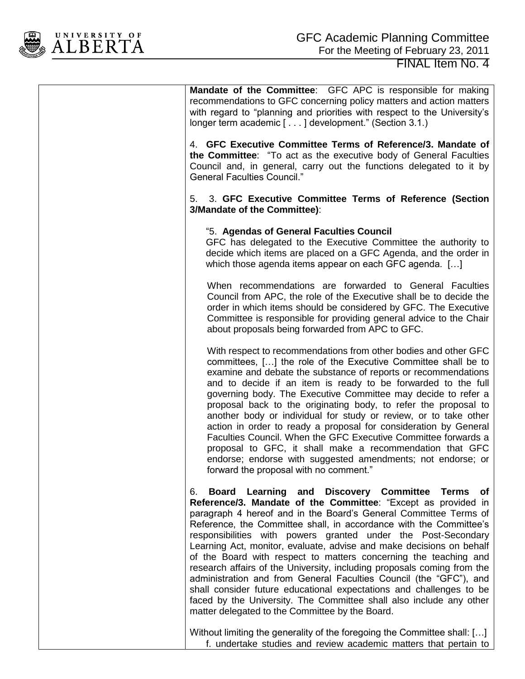

**Mandate of the Committee**: GFC APC is responsible for making recommendations to GFC concerning policy matters and action matters with regard to "planning and priorities with respect to the University's

4. **GFC Executive Committee Terms of Reference/3. Mandate of the Committee**: "To act as the executive body of General Faculties Council and, in general, carry out the functions delegated to it by General Faculties Council."

5. 3. **GFC Executive Committee Terms of Reference (Section 3/Mandate of the Committee)**:

#### "5. **Agendas of General Faculties Council**

longer term academic [ . . . ] development." (Section 3.1.)

GFC has delegated to the Executive Committee the authority to decide which items are placed on a GFC Agenda, and the order in which those agenda items appear on each GFC agenda. [...]

When recommendations are forwarded to General Faculties Council from APC, the role of the Executive shall be to decide the order in which items should be considered by GFC. The Executive Committee is responsible for providing general advice to the Chair about proposals being forwarded from APC to GFC.

With respect to recommendations from other bodies and other GFC committees, […] the role of the Executive Committee shall be to examine and debate the substance of reports or recommendations and to decide if an item is ready to be forwarded to the full governing body. The Executive Committee may decide to refer a proposal back to the originating body, to refer the proposal to another body or individual for study or review, or to take other action in order to ready a proposal for consideration by General Faculties Council. When the GFC Executive Committee forwards a proposal to GFC, it shall make a recommendation that GFC endorse; endorse with suggested amendments; not endorse; or forward the proposal with no comment."

6. **Board Learning and Discovery Committee Terms of Reference/3. Mandate of the Committee**: "Except as provided in paragraph 4 hereof and in the Board's General Committee Terms of Reference, the Committee shall, in accordance with the Committee's responsibilities with powers granted under the Post-Secondary Learning Act, monitor, evaluate, advise and make decisions on behalf of the Board with respect to matters concerning the teaching and research affairs of the University, including proposals coming from the administration and from General Faculties Council (the "GFC"), and shall consider future educational expectations and challenges to be faced by the University. The Committee shall also include any other matter delegated to the Committee by the Board.

Without limiting the generality of the foregoing the Committee shall: [...] f. undertake studies and review academic matters that pertain to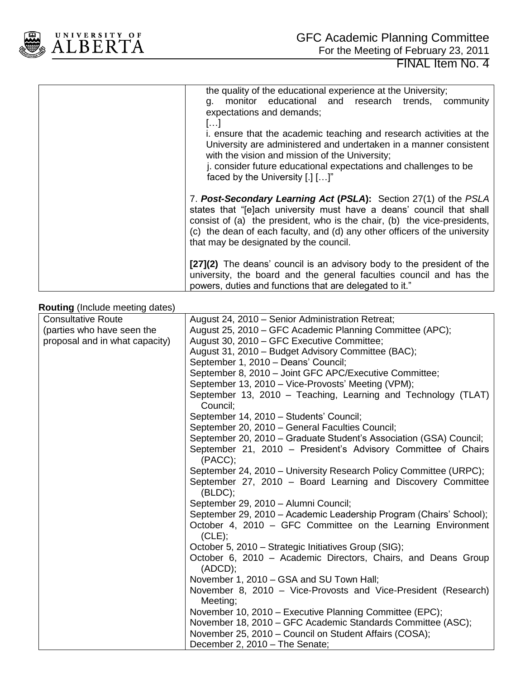

| the quality of the educational experience at the University;<br>monitor educational and research trends, community<br>a.<br>expectations and demands;<br>$\left[ \ldots \right]$                                                                                                                                                             |
|----------------------------------------------------------------------------------------------------------------------------------------------------------------------------------------------------------------------------------------------------------------------------------------------------------------------------------------------|
| i. ensure that the academic teaching and research activities at the<br>University are administered and undertaken in a manner consistent<br>with the vision and mission of the University;<br>j. consider future educational expectations and challenges to be<br>faced by the University [.] []"                                            |
| 7. Post-Secondary Learning Act (PSLA): Section 27(1) of the PSLA<br>states that "[e]ach university must have a deans' council that shall<br>consist of (a) the president, who is the chair, (b) the vice-presidents,<br>(c) the dean of each faculty, and (d) any other officers of the university<br>that may be designated by the council. |
| [27] (2) The deans' council is an advisory body to the president of the<br>university, the board and the general faculties council and has the<br>powers, duties and functions that are delegated to it."                                                                                                                                    |

#### **Routing** (Include meeting dates)

| ັັ                             |                                                                             |
|--------------------------------|-----------------------------------------------------------------------------|
| <b>Consultative Route</b>      | August 24, 2010 - Senior Administration Retreat;                            |
| (parties who have seen the     | August 25, 2010 – GFC Academic Planning Committee (APC);                    |
| proposal and in what capacity) | August 30, 2010 – GFC Executive Committee;                                  |
|                                | August 31, 2010 - Budget Advisory Committee (BAC);                          |
|                                | September 1, 2010 - Deans' Council;                                         |
|                                | September 8, 2010 - Joint GFC APC/Executive Committee;                      |
|                                | September 13, 2010 - Vice-Provosts' Meeting (VPM);                          |
|                                | September 13, 2010 – Teaching, Learning and Technology (TLAT)<br>Council:   |
|                                | September 14, 2010 - Students' Council;                                     |
|                                | September 20, 2010 - General Faculties Council;                             |
|                                | September 20, 2010 – Graduate Student's Association (GSA) Council;          |
|                                | September 21, 2010 - President's Advisory Committee of Chairs               |
|                                | (PACC);                                                                     |
|                                | September 24, 2010 – University Research Policy Committee (URPC);           |
|                                | September 27, 2010 - Board Learning and Discovery Committee<br>(BLDC);      |
|                                | September 29, 2010 - Alumni Council;                                        |
|                                | September 29, 2010 - Academic Leadership Program (Chairs' School);          |
|                                | October 4, 2010 – GFC Committee on the Learning Environment<br>(CLE);       |
|                                | October 5, 2010 - Strategic Initiatives Group (SIG);                        |
|                                | October 6, 2010 - Academic Directors, Chairs, and Deans Group<br>$(ADCD)$ ; |
|                                | November 1, 2010 - GSA and SU Town Hall;                                    |
|                                | November 8, 2010 – Vice-Provosts and Vice-President (Research)              |
|                                | Meeting;                                                                    |
|                                | November 10, 2010 – Executive Planning Committee (EPC);                     |
|                                | November 18, 2010 - GFC Academic Standards Committee (ASC);                 |
|                                | November 25, 2010 - Council on Student Affairs (COSA);                      |
|                                | December 2, 2010 - The Senate;                                              |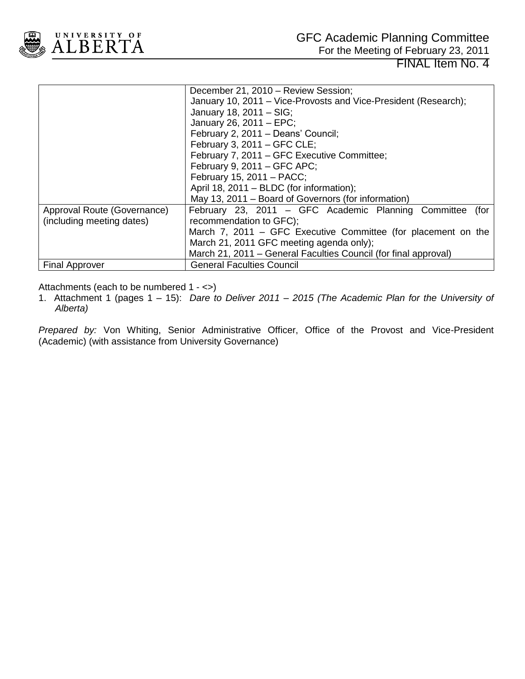

For the Meeting of February 23, 2011

FINAL Item No. 4

|                             | December 21, 2010 - Review Session;                             |
|-----------------------------|-----------------------------------------------------------------|
|                             | January 10, 2011 – Vice-Provosts and Vice-President (Research); |
|                             | January 18, 2011 - SIG;                                         |
|                             | January 26, 2011 - EPC;                                         |
|                             | February 2, 2011 - Deans' Council;                              |
|                             | February 3, $2011 - GFC CLE$ ;                                  |
|                             | February 7, 2011 – GFC Executive Committee;                     |
|                             | February 9, 2011 – GFC APC;                                     |
|                             | February 15, 2011 - PACC;                                       |
|                             | April 18, 2011 – BLDC (for information);                        |
|                             | May 13, 2011 – Board of Governors (for information)             |
| Approval Route (Governance) | February 23, 2011 - GFC Academic Planning Committee<br>(for     |
| (including meeting dates)   | recommendation to GFC);                                         |
|                             | March 7, 2011 – GFC Executive Committee (for placement on the   |
|                             | March 21, 2011 GFC meeting agenda only);                        |
|                             | March 21, 2011 – General Faculties Council (for final approval) |
| <b>Final Approver</b>       | <b>General Faculties Council</b>                                |

Attachments (each to be numbered 1 - <>)

1. Attachment 1 (pages 1 – 15): *Dare to Deliver 2011 – 2015 (The Academic Plan for the University of Alberta)*

*Prepared by:* Von Whiting, Senior Administrative Officer, Office of the Provost and Vice-President (Academic) (with assistance from University Governance)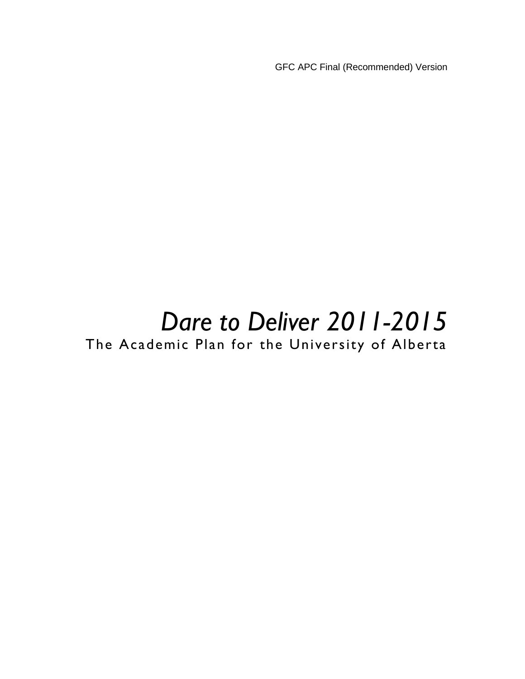GFC APC Final (Recommended) Version

# *Dare to Deliver 2011-2015*

The Academic Plan for the University of Alberta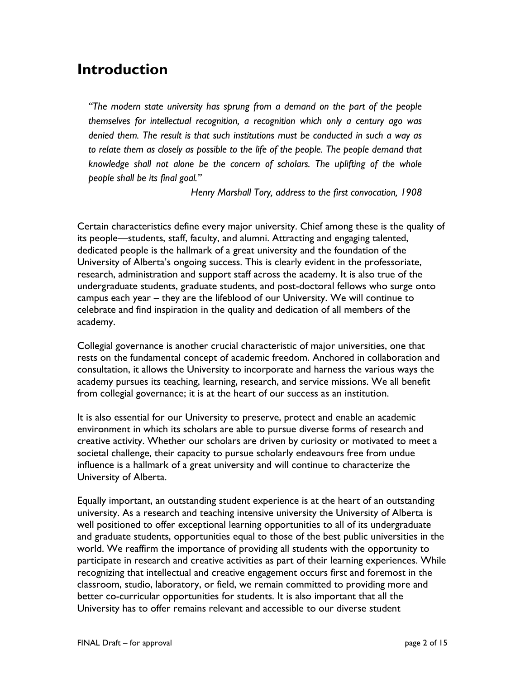## **Introduction**

*"The modern state university has sprung from a demand on the part of the people themselves for intellectual recognition, a recognition which only a century ago was denied them. The result is that such institutions must be conducted in such a way as to relate them as closely as possible to the life of the people. The people demand that knowledge shall not alone be the concern of scholars. The uplifting of the whole people shall be its final goal."*

*Henry Marshall Tory, address to the first convocation, 1908*

Certain characteristics define every major university. Chief among these is the quality of its people—students, staff, faculty, and alumni. Attracting and engaging talented, dedicated people is the hallmark of a great university and the foundation of the University of Alberta's ongoing success. This is clearly evident in the professoriate, research, administration and support staff across the academy. It is also true of the undergraduate students, graduate students, and post-doctoral fellows who surge onto campus each year – they are the lifeblood of our University. We will continue to celebrate and find inspiration in the quality and dedication of all members of the academy.

Collegial governance is another crucial characteristic of major universities, one that rests on the fundamental concept of academic freedom. Anchored in collaboration and consultation, it allows the University to incorporate and harness the various ways the academy pursues its teaching, learning, research, and service missions. We all benefit from collegial governance; it is at the heart of our success as an institution.

It is also essential for our University to preserve, protect and enable an academic environment in which its scholars are able to pursue diverse forms of research and creative activity. Whether our scholars are driven by curiosity or motivated to meet a societal challenge, their capacity to pursue scholarly endeavours free from undue influence is a hallmark of a great university and will continue to characterize the University of Alberta.

Equally important, an outstanding student experience is at the heart of an outstanding university. As a research and teaching intensive university the University of Alberta is well positioned to offer exceptional learning opportunities to all of its undergraduate and graduate students, opportunities equal to those of the best public universities in the world. We reaffirm the importance of providing all students with the opportunity to participate in research and creative activities as part of their learning experiences. While recognizing that intellectual and creative engagement occurs first and foremost in the classroom, studio, laboratory, or field, we remain committed to providing more and better co-curricular opportunities for students. It is also important that all the University has to offer remains relevant and accessible to our diverse student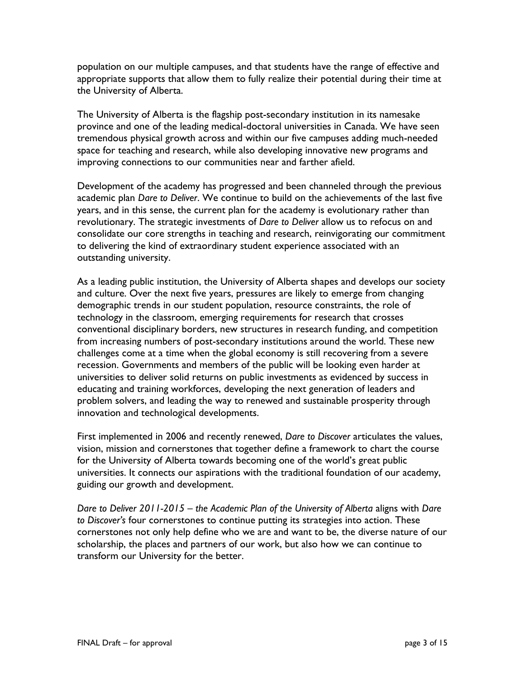population on our multiple campuses, and that students have the range of effective and appropriate supports that allow them to fully realize their potential during their time at the University of Alberta.

The University of Alberta is the flagship post-secondary institution in its namesake province and one of the leading medical-doctoral universities in Canada. We have seen tremendous physical growth across and within our five campuses adding much-needed space for teaching and research, while also developing innovative new programs and improving connections to our communities near and farther afield.

Development of the academy has progressed and been channeled through the previous academic plan *Dare to Deliver*. We continue to build on the achievements of the last five years, and in this sense, the current plan for the academy is evolutionary rather than revolutionary. The strategic investments of *Dare to Deliver* allow us to refocus on and consolidate our core strengths in teaching and research, reinvigorating our commitment to delivering the kind of extraordinary student experience associated with an outstanding university.

As a leading public institution, the University of Alberta shapes and develops our society and culture. Over the next five years, pressures are likely to emerge from changing demographic trends in our student population, resource constraints, the role of technology in the classroom, emerging requirements for research that crosses conventional disciplinary borders, new structures in research funding, and competition from increasing numbers of post-secondary institutions around the world. These new challenges come at a time when the global economy is still recovering from a severe recession. Governments and members of the public will be looking even harder at universities to deliver solid returns on public investments as evidenced by success in educating and training workforces, developing the next generation of leaders and problem solvers, and leading the way to renewed and sustainable prosperity through innovation and technological developments.

First implemented in 2006 and recently renewed, *Dare to Discover* articulates the values, vision, mission and cornerstones that together define a framework to chart the course for the University of Alberta towards becoming one of the world's great public universities. It connects our aspirations with the traditional foundation of our academy, guiding our growth and development.

*Dare to Deliver 2011-2015 – the Academic Plan of the University of Alberta* aligns with *Dare to Discover's* four cornerstones to continue putting its strategies into action. These cornerstones not only help define who we are and want to be, the diverse nature of our scholarship, the places and partners of our work, but also how we can continue to transform our University for the better.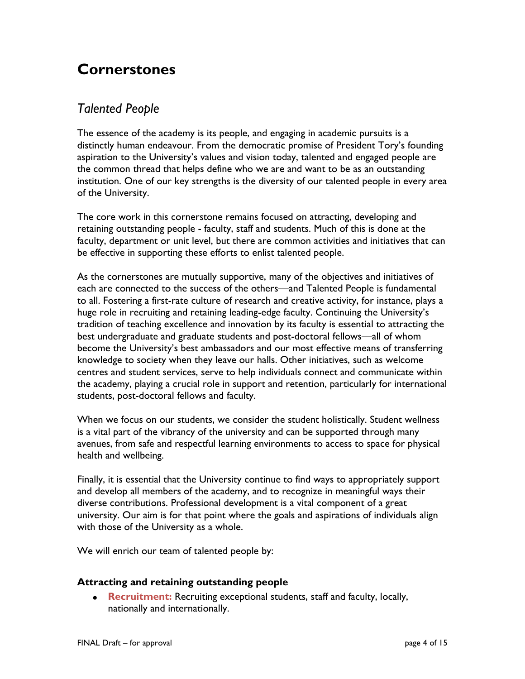# **Cornerstones**

## *Talented People*

The essence of the academy is its people, and engaging in academic pursuits is a distinctly human endeavour. From the democratic promise of President Tory's founding aspiration to the University's values and vision today, talented and engaged people are the common thread that helps define who we are and want to be as an outstanding institution. One of our key strengths is the diversity of our talented people in every area of the University.

The core work in this cornerstone remains focused on attracting, developing and retaining outstanding people - faculty, staff and students. Much of this is done at the faculty, department or unit level, but there are common activities and initiatives that can be effective in supporting these efforts to enlist talented people.

As the cornerstones are mutually supportive, many of the objectives and initiatives of each are connected to the success of the others—and Talented People is fundamental to all. Fostering a first-rate culture of research and creative activity, for instance, plays a huge role in recruiting and retaining leading-edge faculty. Continuing the University's tradition of teaching excellence and innovation by its faculty is essential to attracting the best undergraduate and graduate students and post-doctoral fellows—all of whom become the University's best ambassadors and our most effective means of transferring knowledge to society when they leave our halls. Other initiatives, such as welcome centres and student services, serve to help individuals connect and communicate within the academy, playing a crucial role in support and retention, particularly for international students, post-doctoral fellows and faculty.

When we focus on our students, we consider the student holistically. Student wellness is a vital part of the vibrancy of the university and can be supported through many avenues, from safe and respectful learning environments to access to space for physical health and wellbeing.

Finally, it is essential that the University continue to find ways to appropriately support and develop all members of the academy, and to recognize in meaningful ways their diverse contributions. Professional development is a vital component of a great university. Our aim is for that point where the goals and aspirations of individuals align with those of the University as a whole.

We will enrich our team of talented people by:

#### **Attracting and retaining outstanding people**

**Recruitment:** Recruiting exceptional students, staff and faculty, locally, nationally and internationally.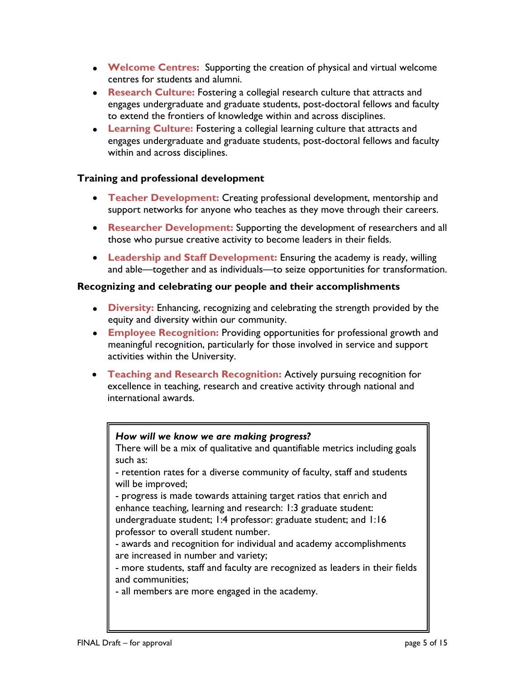- **Welcome Centres:** Supporting the creation of physical and virtual welcome centres for students and alumni.
- **Research Culture:** Fostering a collegial research culture that attracts and engages undergraduate and graduate students, post-doctoral fellows and faculty to extend the frontiers of knowledge within and across disciplines.
- **Learning Culture:** Fostering a collegial learning culture that attracts and engages undergraduate and graduate students, post-doctoral fellows and faculty within and across disciplines.

#### **Training and professional development**

- **Teacher Development:** Creating professional development, mentorship and support networks for anyone who teaches as they move through their careers.
- **Researcher Development:** Supporting the development of researchers and all those who pursue creative activity to become leaders in their fields.
- **Leadership and Staff Development:** Ensuring the academy is ready, willing and able—together and as individuals—to seize opportunities for transformation.

#### **Recognizing and celebrating our people and their accomplishments**

- **Diversity:** Enhancing, recognizing and celebrating the strength provided by the equity and diversity within our community.
- **Employee Recognition:** Providing opportunities for professional growth and meaningful recognition, particularly for those involved in service and support activities within the University.
- **Teaching and Research Recognition:** Actively pursuing recognition for excellence in teaching, research and creative activity through national and international awards.

#### *How will we know we are making progress?*

There will be a mix of qualitative and quantifiable metrics including goals such as:

- retention rates for a diverse community of faculty, staff and students will be improved;

- progress is made towards attaining target ratios that enrich and enhance teaching, learning and research: 1:3 graduate student:

undergraduate student; 1:4 professor: graduate student; and 1:16 professor to overall student number.

- awards and recognition for individual and academy accomplishments are increased in number and variety;

- more students, staff and faculty are recognized as leaders in their fields and communities;

- all members are more engaged in the academy.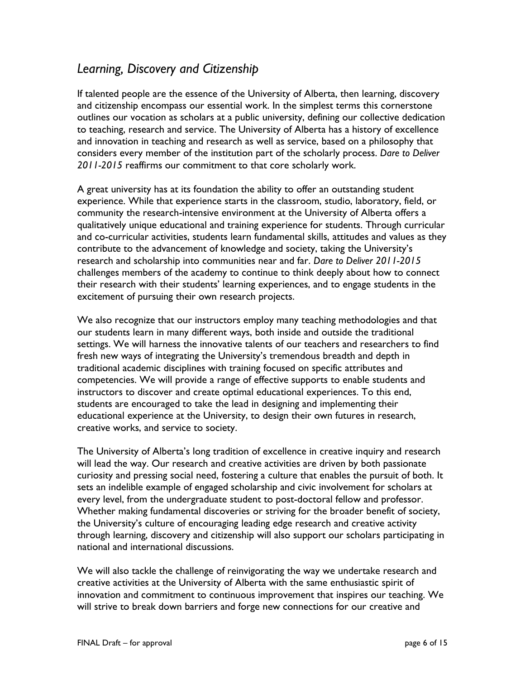## *Learning, Discovery and Citizenship*

If talented people are the essence of the University of Alberta, then learning, discovery and citizenship encompass our essential work. In the simplest terms this cornerstone outlines our vocation as scholars at a public university, defining our collective dedication to teaching, research and service. The University of Alberta has a history of excellence and innovation in teaching and research as well as service, based on a philosophy that considers every member of the institution part of the scholarly process. *Dare to Deliver 2011-2015* reaffirms our commitment to that core scholarly work.

A great university has at its foundation the ability to offer an outstanding student experience. While that experience starts in the classroom, studio, laboratory, field, or community the research-intensive environment at the University of Alberta offers a qualitatively unique educational and training experience for students. Through curricular and co-curricular activities, students learn fundamental skills, attitudes and values as they contribute to the advancement of knowledge and society, taking the University's research and scholarship into communities near and far. *Dare to Deliver 2011-2015* challenges members of the academy to continue to think deeply about how to connect their research with their students' learning experiences, and to engage students in the excitement of pursuing their own research projects.

We also recognize that our instructors employ many teaching methodologies and that our students learn in many different ways, both inside and outside the traditional settings. We will harness the innovative talents of our teachers and researchers to find fresh new ways of integrating the University's tremendous breadth and depth in traditional academic disciplines with training focused on specific attributes and competencies. We will provide a range of effective supports to enable students and instructors to discover and create optimal educational experiences. To this end, students are encouraged to take the lead in designing and implementing their educational experience at the University, to design their own futures in research, creative works, and service to society.

The University of Alberta's long tradition of excellence in creative inquiry and research will lead the way. Our research and creative activities are driven by both passionate curiosity and pressing social need, fostering a culture that enables the pursuit of both. It sets an indelible example of engaged scholarship and civic involvement for scholars at every level, from the undergraduate student to post-doctoral fellow and professor. Whether making fundamental discoveries or striving for the broader benefit of society, the University's culture of encouraging leading edge research and creative activity through learning, discovery and citizenship will also support our scholars participating in national and international discussions.

We will also tackle the challenge of reinvigorating the way we undertake research and creative activities at the University of Alberta with the same enthusiastic spirit of innovation and commitment to continuous improvement that inspires our teaching. We will strive to break down barriers and forge new connections for our creative and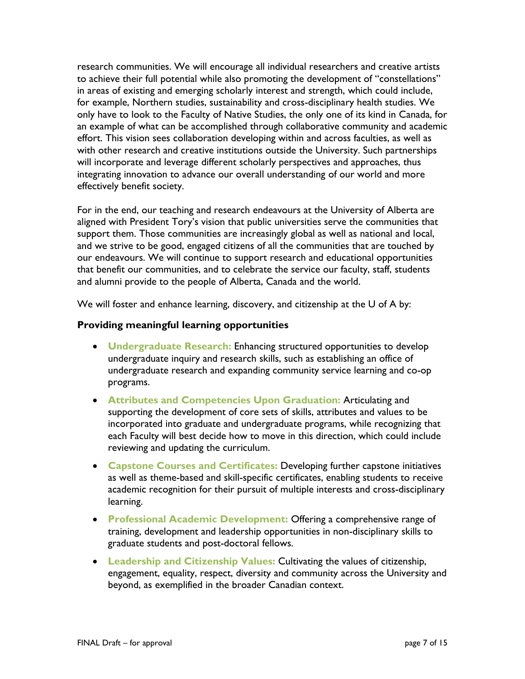research communities. We will encourage all individual researchers and creative artists to achieve their full potential while also promoting the development of "constellations" in areas of existing and emerging scholarly interest and strength, which could include, for example, Northern studies, sustainability and cross-disciplinary health studies. We only have to look to the Faculty of Native Studies, the only one of its kind in Canada, for an example of what can be accomplished through collaborative community and academic effort. This vision sees collaboration developing within and across faculties, as well as with other research and creative institutions outside the University. Such partnerships will incorporate and leverage different scholarly perspectives and approaches, thus integrating innovation to advance our overall understanding of our world and more effectively benefit society.

For in the end, our teaching and research endeavours at the University of Alberta are aligned with President Tory's vision that public universities serve the communities that support them. Those communities are increasingly global as well as national and local, and we strive to be good, engaged citizens of all the communities that are touched by our endeavours. We will continue to support research and educational opportunities that benefit our communities, and to celebrate the service our faculty, staff, students and alumni provide to the people of Alberta, Canada and the world.

We will foster and enhance learning, discovery, and citizenship at the U of A by:

#### **Providing meaningful learning opportunities**

- **Undergraduate Research:** Enhancing structured opportunities to develop undergraduate inquiry and research skills, such as establishing an office of undergraduate research and expanding community service learning and co-op programs.
- **Attributes and Competencies Upon Graduation:** Articulating and supporting the development of core sets of skills, attributes and values to be incorporated into graduate and undergraduate programs, while recognizing that each Faculty will best decide how to move in this direction, which could include reviewing and updating the curriculum.
- **Capstone Courses and Certificates:** Developing further capstone initiatives as well as theme-based and skill-specific certificates, enabling students to receive academic recognition for their pursuit of multiple interests and cross-disciplinary learning.
- **Professional Academic Development:** Offering a comprehensive range of training, development and leadership opportunities in non-disciplinary skills to graduate students and post-doctoral fellows.
- **Leadership and Citizenship Values:** Cultivating the values of citizenship, engagement, equality, respect, diversity and community across the University and beyond, as exemplified in the broader Canadian context.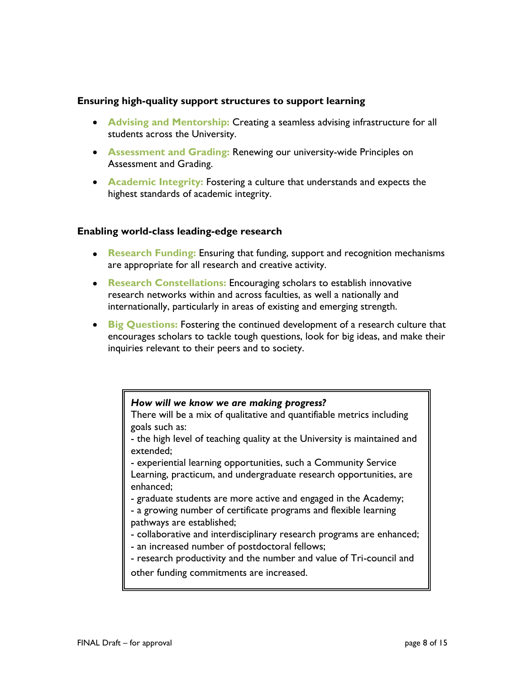#### **Ensuring high-quality support structures to support learning**

- **Advising and Mentorship:** Creating a seamless advising infrastructure for all students across the University.
- **Assessment and Grading:** Renewing our university-wide Principles on Assessment and Grading.
- **Academic Integrity:** Fostering a culture that understands and expects the highest standards of academic integrity.

#### **Enabling world-class leading-edge research**

- **Research Funding:** Ensuring that funding, support and recognition mechanisms are appropriate for all research and creative activity.
- **Research Constellations:** Encouraging scholars to establish innovative research networks within and across faculties, as well a nationally and internationally, particularly in areas of existing and emerging strength.
- **Big Questions:** Fostering the continued development of a research culture that encourages scholars to tackle tough questions, look for big ideas, and make their inquiries relevant to their peers and to society.

#### *How will we know we are making progress?*

There will be a mix of qualitative and quantifiable metrics including goals such as:

- the high level of teaching quality at the University is maintained and extended;

- experiential learning opportunities, such a Community Service Learning, practicum, and undergraduate research opportunities, are enhanced;

- graduate students are more active and engaged in the Academy;

- a growing number of certificate programs and flexible learning pathways are established;

- collaborative and interdisciplinary research programs are enhanced;

- an increased number of postdoctoral fellows;

- research productivity and the number and value of Tri-council and other funding commitments are increased.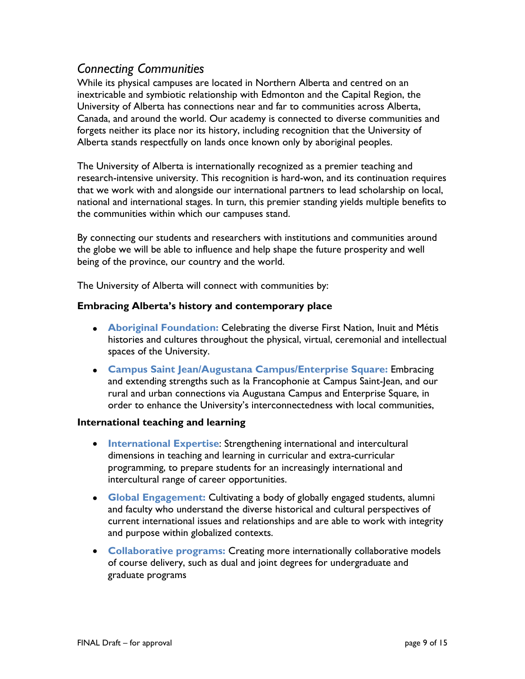### *Connecting Communities*

While its physical campuses are located in Northern Alberta and centred on an inextricable and symbiotic relationship with Edmonton and the Capital Region, the University of Alberta has connections near and far to communities across Alberta, Canada, and around the world. Our academy is connected to diverse communities and forgets neither its place nor its history, including recognition that the University of Alberta stands respectfully on lands once known only by aboriginal peoples.

The University of Alberta is internationally recognized as a premier teaching and research-intensive university. This recognition is hard-won, and its continuation requires that we work with and alongside our international partners to lead scholarship on local, national and international stages. In turn, this premier standing yields multiple benefits to the communities within which our campuses stand.

By connecting our students and researchers with institutions and communities around the globe we will be able to influence and help shape the future prosperity and well being of the province, our country and the world.

The University of Alberta will connect with communities by:

#### **Embracing Alberta's history and contemporary place**

- **Aboriginal Foundation:** Celebrating the diverse First Nation, Inuit and Métis histories and cultures throughout the physical, virtual, ceremonial and intellectual spaces of the University.
- **Campus Saint Jean/Augustana Campus/Enterprise Square:** Embracing and extending strengths such as la Francophonie at Campus Saint-Jean, and our rural and urban connections via Augustana Campus and Enterprise Square, in order to enhance the University's interconnectedness with local communities,

#### **International teaching and learning**

- **International Expertise**: Strengthening international and intercultural dimensions in teaching and learning in curricular and extra-curricular programming, to prepare students for an increasingly international and intercultural range of career opportunities.
- **Global Engagement:** Cultivating a body of globally engaged students, alumni and faculty who understand the diverse historical and cultural perspectives of current international issues and relationships and are able to work with integrity and purpose within globalized contexts.
- **Collaborative programs:** Creating more internationally collaborative models of course delivery, such as dual and joint degrees for undergraduate and graduate programs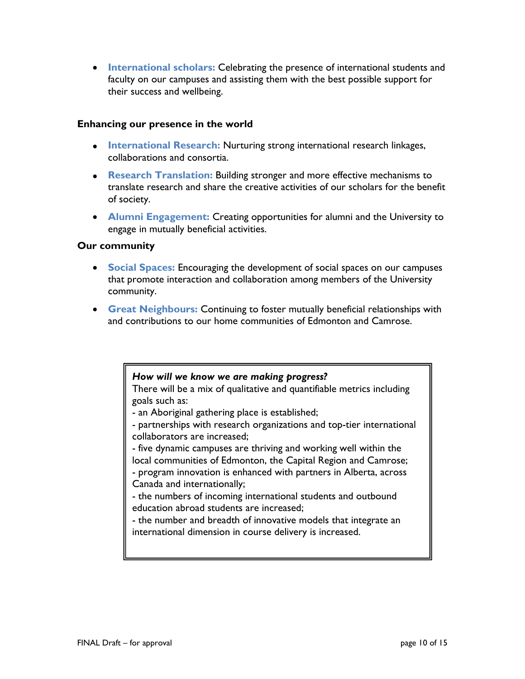**International scholars:** Celebrating the presence of international students and faculty on our campuses and assisting them with the best possible support for their success and wellbeing.

#### **Enhancing our presence in the world**

- **International Research:** Nurturing strong international research linkages, collaborations and consortia.
- **Research Translation:** Building stronger and more effective mechanisms to translate research and share the creative activities of our scholars for the benefit of society.
- **Alumni Engagement:** Creating opportunities for alumni and the University to engage in mutually beneficial activities.

#### **Our community**

- **Social Spaces:** Encouraging the development of social spaces on our campuses that promote interaction and collaboration among members of the University community.
- **Great Neighbours:** Continuing to foster mutually beneficial relationships with and contributions to our home communities of Edmonton and Camrose.

#### *How will we know we are making progress?*

There will be a mix of qualitative and quantifiable metrics including goals such as:

- an Aboriginal gathering place is established;
- partnerships with research organizations and top-tier international collaborators are increased;

- five dynamic campuses are thriving and working well within the local communities of Edmonton, the Capital Region and Camrose;

- program innovation is enhanced with partners in Alberta, across Canada and internationally;

- the numbers of incoming international students and outbound education abroad students are increased;

- the number and breadth of innovative models that integrate an international dimension in course delivery is increased.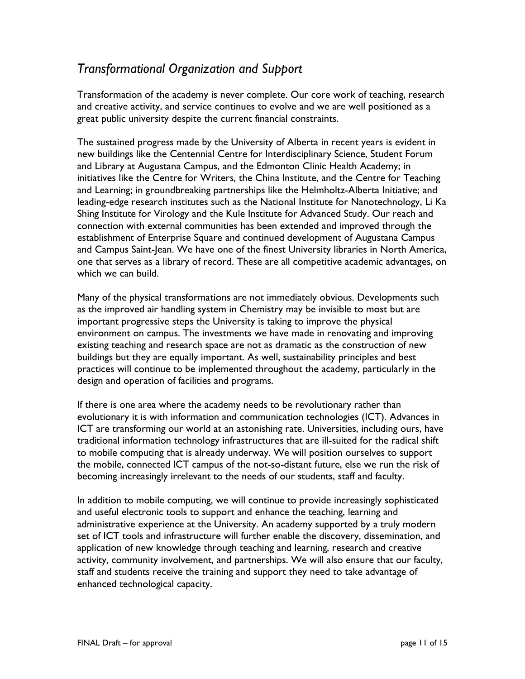## *Transformational Organization and Support*

Transformation of the academy is never complete. Our core work of teaching, research and creative activity, and service continues to evolve and we are well positioned as a great public university despite the current financial constraints.

The sustained progress made by the University of Alberta in recent years is evident in new buildings like the Centennial Centre for Interdisciplinary Science, Student Forum and Library at Augustana Campus, and the Edmonton Clinic Health Academy; in initiatives like the Centre for Writers, the China Institute, and the Centre for Teaching and Learning; in groundbreaking partnerships like the Helmholtz-Alberta Initiative; and leading-edge research institutes such as the National Institute for Nanotechnology, Li Ka Shing Institute for Virology and the Kule Institute for Advanced Study. Our reach and connection with external communities has been extended and improved through the establishment of Enterprise Square and continued development of Augustana Campus and Campus Saint-Jean. We have one of the finest University libraries in North America, one that serves as a library of record. These are all competitive academic advantages, on which we can build.

Many of the physical transformations are not immediately obvious. Developments such as the improved air handling system in Chemistry may be invisible to most but are important progressive steps the University is taking to improve the physical environment on campus. The investments we have made in renovating and improving existing teaching and research space are not as dramatic as the construction of new buildings but they are equally important. As well, sustainability principles and best practices will continue to be implemented throughout the academy, particularly in the design and operation of facilities and programs.

If there is one area where the academy needs to be revolutionary rather than evolutionary it is with information and communication technologies (ICT). Advances in ICT are transforming our world at an astonishing rate. Universities, including ours, have traditional information technology infrastructures that are ill-suited for the radical shift to mobile computing that is already underway. We will position ourselves to support the mobile, connected ICT campus of the not-so-distant future, else we run the risk of becoming increasingly irrelevant to the needs of our students, staff and faculty.

In addition to mobile computing, we will continue to provide increasingly sophisticated and useful electronic tools to support and enhance the teaching, learning and administrative experience at the University. An academy supported by a truly modern set of ICT tools and infrastructure will further enable the discovery, dissemination, and application of new knowledge through teaching and learning, research and creative activity, community involvement, and partnerships. We will also ensure that our faculty, staff and students receive the training and support they need to take advantage of enhanced technological capacity.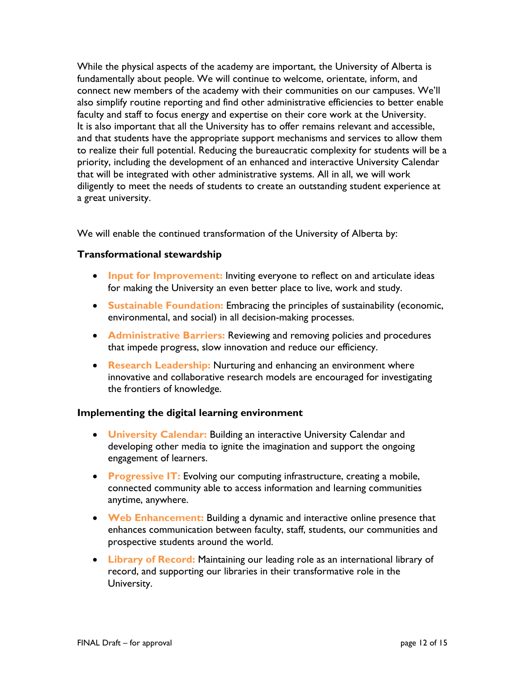While the physical aspects of the academy are important, the University of Alberta is fundamentally about people. We will continue to welcome, orientate, inform, and connect new members of the academy with their communities on our campuses. We'll also simplify routine reporting and find other administrative efficiencies to better enable faculty and staff to focus energy and expertise on their core work at the University. It is also important that all the University has to offer remains relevant and accessible, and that students have the appropriate support mechanisms and services to allow them to realize their full potential. Reducing the bureaucratic complexity for students will be a priority, including the development of an enhanced and interactive University Calendar that will be integrated with other administrative systems. All in all, we will work diligently to meet the needs of students to create an outstanding student experience at a great university.

We will enable the continued transformation of the University of Alberta by:

#### **Transformational stewardship**

- **Input for Improvement:** Inviting everyone to reflect on and articulate ideas for making the University an even better place to live, work and study.
- **Sustainable Foundation:** Embracing the principles of sustainability (economic, environmental, and social) in all decision-making processes.
- **Administrative Barriers:** Reviewing and removing policies and procedures that impede progress, slow innovation and reduce our efficiency.
- **Research Leadership:** Nurturing and enhancing an environment where innovative and collaborative research models are encouraged for investigating the frontiers of knowledge.

#### **Implementing the digital learning environment**

- **University Calendar:** Building an interactive University Calendar and developing other media to ignite the imagination and support the ongoing engagement of learners.
- **Progressive IT:** Evolving our computing infrastructure, creating a mobile, connected community able to access information and learning communities anytime, anywhere.
- **Web Enhancement:** Building a dynamic and interactive online presence that enhances communication between faculty, staff, students, our communities and prospective students around the world.
- **Library of Record:** Maintaining our leading role as an international library of record, and supporting our libraries in their transformative role in the University.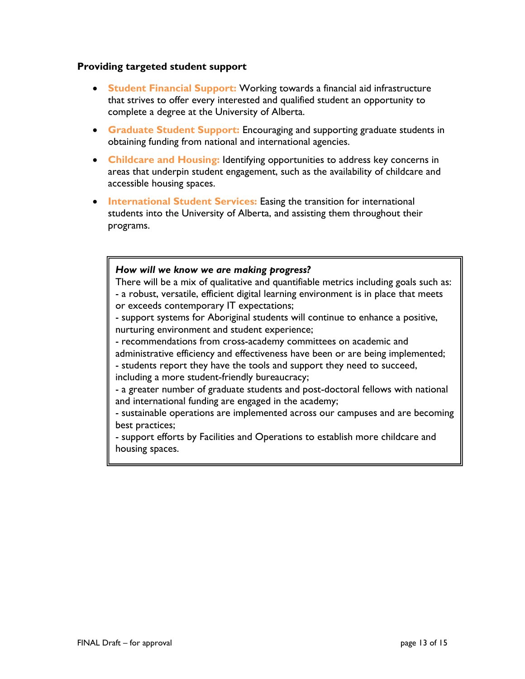#### **Providing targeted student support**

- **Student Financial Support:** Working towards a financial aid infrastructure that strives to offer every interested and qualified student an opportunity to complete a degree at the University of Alberta.
- **Graduate Student Support:** Encouraging and supporting graduate students in obtaining funding from national and international agencies.
- **Childcare and Housing:** Identifying opportunities to address key concerns in areas that underpin student engagement, such as the availability of childcare and accessible housing spaces.
- **International Student Services:** Easing the transition for international students into the University of Alberta, and assisting them throughout their programs.

#### *How will we know we are making progress?*

There will be a mix of qualitative and quantifiable metrics including goals such as: - a robust, versatile, efficient digital learning environment is in place that meets or exceeds contemporary IT expectations;

- support systems for Aboriginal students will continue to enhance a positive, nurturing environment and student experience;

- recommendations from cross-academy committees on academic and

administrative efficiency and effectiveness have been or are being implemented; - students report they have the tools and support they need to succeed,

including a more student-friendly bureaucracy;

- a greater number of graduate students and post-doctoral fellows with national and international funding are engaged in the academy;

- sustainable operations are implemented across our campuses and are becoming best practices;

- support efforts by Facilities and Operations to establish more childcare and housing spaces.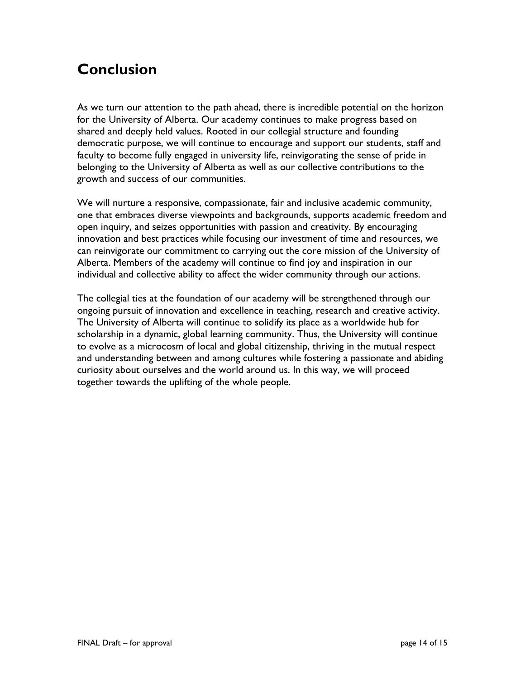# **Conclusion**

As we turn our attention to the path ahead, there is incredible potential on the horizon for the University of Alberta. Our academy continues to make progress based on shared and deeply held values. Rooted in our collegial structure and founding democratic purpose, we will continue to encourage and support our students, staff and faculty to become fully engaged in university life, reinvigorating the sense of pride in belonging to the University of Alberta as well as our collective contributions to the growth and success of our communities.

We will nurture a responsive, compassionate, fair and inclusive academic community, one that embraces diverse viewpoints and backgrounds, supports academic freedom and open inquiry, and seizes opportunities with passion and creativity. By encouraging innovation and best practices while focusing our investment of time and resources, we can reinvigorate our commitment to carrying out the core mission of the University of Alberta. Members of the academy will continue to find joy and inspiration in our individual and collective ability to affect the wider community through our actions.

The collegial ties at the foundation of our academy will be strengthened through our ongoing pursuit of innovation and excellence in teaching, research and creative activity. The University of Alberta will continue to solidify its place as a worldwide hub for scholarship in a dynamic, global learning community. Thus, the University will continue to evolve as a microcosm of local and global citizenship, thriving in the mutual respect and understanding between and among cultures while fostering a passionate and abiding curiosity about ourselves and the world around us. In this way, we will proceed together towards the uplifting of the whole people.